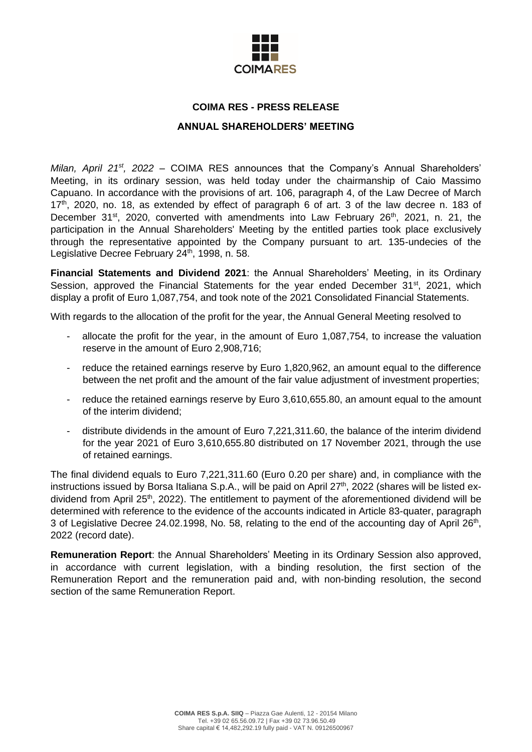

# **COIMA RES - PRESS RELEASE**

## **ANNUAL SHAREHOLDERS' MEETING**

*Milan, April 21<sup>st</sup>, 2022* – COIMA RES announces that the Company's Annual Shareholders' Meeting, in its ordinary session, was held today under the chairmanship of Caio Massimo Capuano. In accordance with the provisions of art. 106, paragraph 4, of the Law Decree of March  $17<sup>th</sup>$ , 2020, no. 18, as extended by effect of paragraph 6 of art. 3 of the law decree n. 183 of December 31<sup>st</sup>, 2020, converted with amendments into Law February 26<sup>th</sup>, 2021, n. 21, the participation in the Annual Shareholders' Meeting by the entitled parties took place exclusively through the representative appointed by the Company pursuant to art. 135-undecies of the Legislative Decree February 24<sup>th</sup>, 1998, n. 58.

**Financial Statements and Dividend 2021**: the Annual Shareholders' Meeting, in its Ordinary Session, approved the Financial Statements for the year ended December  $31<sup>st</sup>$ , 2021, which display a profit of Euro 1,087,754, and took note of the 2021 Consolidated Financial Statements.

With regards to the allocation of the profit for the year, the Annual General Meeting resolved to

- allocate the profit for the year, in the amount of Euro 1,087,754, to increase the valuation reserve in the amount of Euro 2,908,716;
- reduce the retained earnings reserve by Euro 1,820,962, an amount equal to the difference between the net profit and the amount of the fair value adjustment of investment properties;
- reduce the retained earnings reserve by Euro 3,610,655,80, an amount equal to the amount of the interim dividend;
- distribute dividends in the amount of Euro 7,221,311.60, the balance of the interim dividend for the year 2021 of Euro 3,610,655.80 distributed on 17 November 2021, through the use of retained earnings.

The final dividend equals to Euro 7,221,311.60 (Euro 0.20 per share) and, in compliance with the instructions issued by Borsa Italiana S.p.A., will be paid on April 27<sup>th</sup>, 2022 (shares will be listed exdividend from April 25<sup>th</sup>, 2022). The entitlement to payment of the aforementioned dividend will be determined with reference to the evidence of the accounts indicated in Article 83-quater, paragraph 3 of Legislative Decree 24.02.1998, No. 58, relating to the end of the accounting day of April 26<sup>th</sup>, 2022 (record date).

**Remuneration Report**: the Annual Shareholders' Meeting in its Ordinary Session also approved, in accordance with current legislation, with a binding resolution, the first section of the Remuneration Report and the remuneration paid and, with non-binding resolution, the second section of the same Remuneration Report.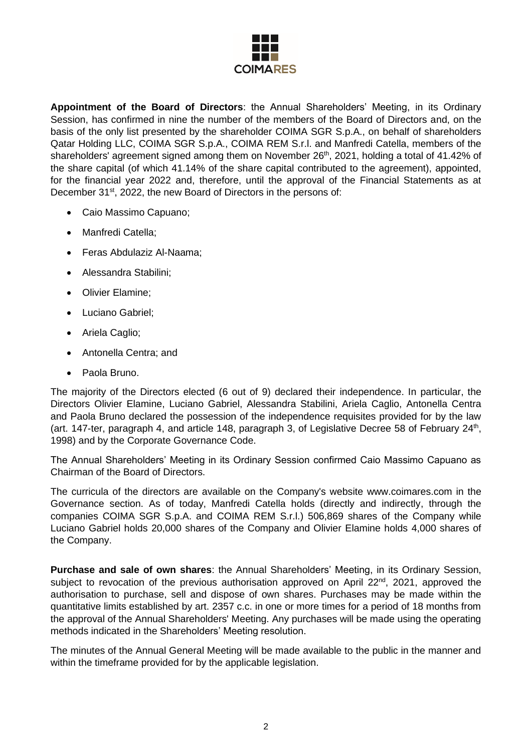

**Appointment of the Board of Directors**: the Annual Shareholders' Meeting, in its Ordinary Session, has confirmed in nine the number of the members of the Board of Directors and, on the basis of the only list presented by the shareholder COIMA SGR S.p.A., on behalf of shareholders Qatar Holding LLC, COIMA SGR S.p.A., COIMA REM S.r.l. and Manfredi Catella, members of the shareholders' agreement signed among them on November 26<sup>th</sup>, 2021, holding a total of 41.42% of the share capital (of which 41.14% of the share capital contributed to the agreement), appointed, for the financial year 2022 and, therefore, until the approval of the Financial Statements as at December 31<sup>st</sup>, 2022, the new Board of Directors in the persons of:

- Caio Massimo Capuano;
- Manfredi Catella;
- Feras Abdulaziz Al-Naama;
- Alessandra Stabilini;
- Olivier Elamine;
- Luciano Gabriel;
- Ariela Caglio;
- Antonella Centra; and
- Paola Bruno.

The majority of the Directors elected (6 out of 9) declared their independence. In particular, the Directors Olivier Elamine, Luciano Gabriel, Alessandra Stabilini, Ariela Caglio, Antonella Centra and Paola Bruno declared the possession of the independence requisites provided for by the law (art. 147-ter, paragraph 4, and article 148, paragraph 3, of Legislative Decree 58 of February 24<sup>th</sup>, 1998) and by the Corporate Governance Code.

The Annual Shareholders' Meeting in its Ordinary Session confirmed Caio Massimo Capuano as Chairman of the Board of Directors.

The curricula of the directors are available on the Company's website www.coimares.com in the Governance section. As of today, Manfredi Catella holds (directly and indirectly, through the companies COIMA SGR S.p.A. and COIMA REM S.r.l.) 506,869 shares of the Company while Luciano Gabriel holds 20,000 shares of the Company and Olivier Elamine holds 4,000 shares of the Company.

**Purchase and sale of own shares**: the Annual Shareholders' Meeting, in its Ordinary Session, subject to revocation of the previous authorisation approved on April 22<sup>nd</sup>, 2021, approved the authorisation to purchase, sell and dispose of own shares. Purchases may be made within the quantitative limits established by art. 2357 c.c. in one or more times for a period of 18 months from the approval of the Annual Shareholders' Meeting. Any purchases will be made using the operating methods indicated in the Shareholders' Meeting resolution.

The minutes of the Annual General Meeting will be made available to the public in the manner and within the timeframe provided for by the applicable legislation.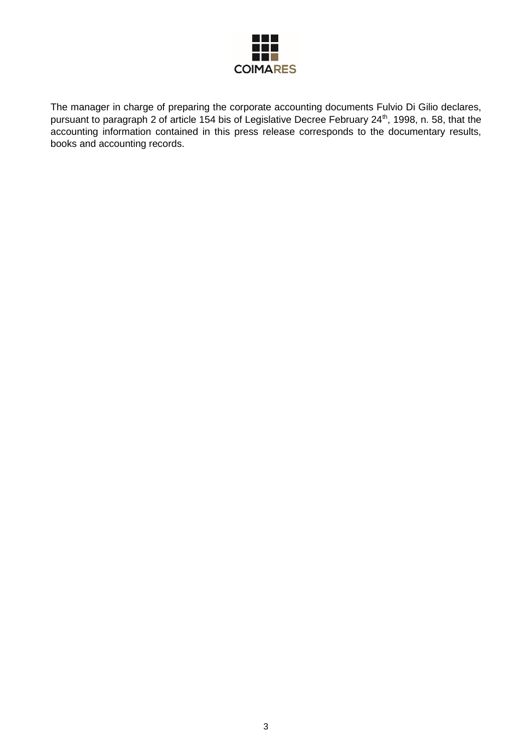

The manager in charge of preparing the corporate accounting documents Fulvio Di Gilio declares, pursuant to paragraph 2 of article 154 bis of Legislative Decree February 24<sup>th</sup>, 1998, n. 58, that the accounting information contained in this press release corresponds to the documentary results, books and accounting records.